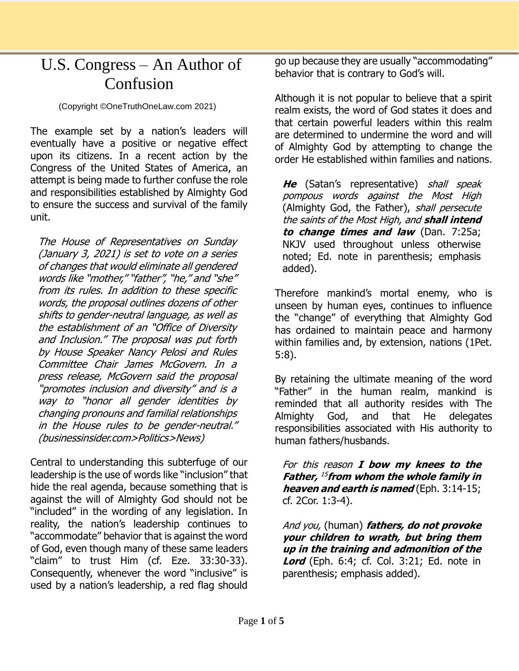## U.S. Congress – An Author of Confusion

(Copyright ©OneTruthOneLaw.com 2021)

The example set by a nation's leaders will eventually have a positive or negative effect upon its citizens. In a recent action by the Congress of the United States of America, an attempt is being made to further confuse the role and responsibilities established by Almighty God to ensure the success and survival of the family unit.

The House of Representatives on Sunday (January 3, 2021) is set to vote on a series of changes that would eliminate all gendered words like "mother," "father", "he," and "she" from its rules. In addition to these specific words, the proposal outlines dozens of other shifts to gender-neutral language, as well as the establishment of an "Office of Diversity and Inclusion." The proposal was put forth by House Speaker Nancy Pelosi and Rules Committee Chair James McGovern. In a press release, McGovern said the proposal "promotes inclusion and diversity" and is a way to "honor all gender identities by changing pronouns and familial relationships in the House rules to be gender-neutral." (businessinsider.com>Politics>News)

Central to understanding this subterfuge of our leadership is the use of words like "inclusion" that hide the real agenda, because something that is against the will of Almighty God should not be "included" in the wording of any legislation. In reality, the nation's leadership continues to "accommodate" behavior that is against the word of God, even though many of these same leaders "claim" to trust Him (cf. Eze. 33:30-33). Consequently, whenever the word "inclusive" is used by a nation's leadership, a red flag should go up because they are usually "accommodating" behavior that is contrary to God's will.

Although it is not popular to believe that a spirit realm exists, the word of God states it does and that certain powerful leaders within this realm are determined to undermine the word and will of Almighty God by attempting to change the order He established within families and nations.

**He** (Satan's representative) shall speak pompous words against the Most High (Almighty God, the Father), shall persecute the saints of the Most High, and **shall intend to change times and law** (Dan. 7:25a; NKJV used throughout unless otherwise noted; Ed. note in parenthesis; emphasis added).

Therefore mankind's mortal enemy, who is unseen by human eyes, continues to influence the "change" of everything that Almighty God has ordained to maintain peace and harmony within families and, by extension, nations (1Pet. 5:8).

By retaining the ultimate meaning of the word "Father" in the human realm, mankind is reminded that all authority resides with The Almighty God, and that He delegates responsibilities associated with His authority to human fathers/husbands.

For this reason **I bow my knees to the Father,**  15 **from whom the whole family in heaven and earth is named** (Eph. 3:14-15; cf. 2Cor. 1:3-4).

And you, (human) **fathers, do not provoke your children to wrath, but bring them up in the training and admonition of the Lord** (Eph. 6:4; cf. Col. 3:21; Ed. note in parenthesis; emphasis added).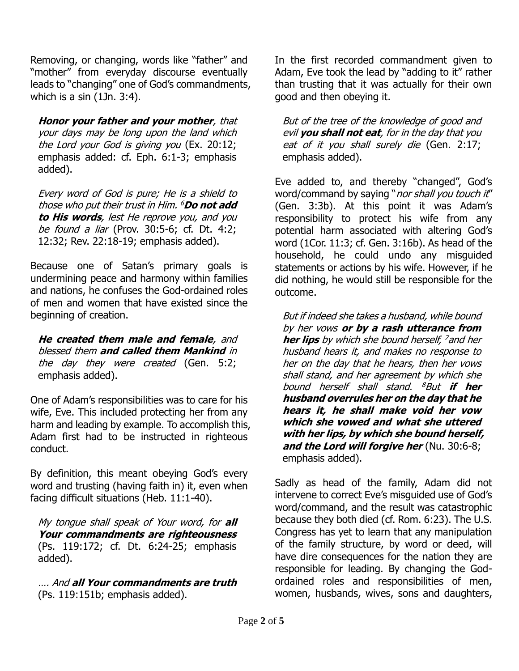Removing, or changing, words like "father" and "mother" from everyday discourse eventually leads to "changing" one of God's commandments, which is a sin (1Jn. 3:4).

**Honor your father and your mother**, that your days may be long upon the land which the Lord your God is giving you (Ex. 20:12; emphasis added: cf. Eph. 6:1-3; emphasis added).

Every word of God is pure; He is a shield to those who put their trust in Him. <sup>6</sup>**Do not add to His words**, lest He reprove you, and you be found a liar (Prov. 30:5-6; cf. Dt. 4:2; 12:32; Rev. 22:18-19; emphasis added).

Because one of Satan's primary goals is undermining peace and harmony within families and nations, he confuses the God-ordained roles of men and women that have existed since the beginning of creation.

**He created them male and female**, and blessed them **and called them Mankind** in the day they were created (Gen. 5:2; emphasis added).

One of Adam's responsibilities was to care for his wife, Eve. This included protecting her from any harm and leading by example. To accomplish this, Adam first had to be instructed in righteous conduct.

By definition, this meant obeying God's every word and trusting (having faith in) it, even when facing difficult situations (Heb. 11:1-40).

My tongue shall speak of Your word, for **all Your commandments are righteousness** (Ps. 119:172; cf. Dt. 6:24-25; emphasis added).

…. And **all Your commandments are truth** (Ps. 119:151b; emphasis added).

In the first recorded commandment given to Adam, Eve took the lead by "adding to it" rather than trusting that it was actually for their own good and then obeying it.

But of the tree of the knowledge of good and evil **you shall not eat**, for in the day that you eat of it you shall surely die (Gen. 2:17; emphasis added).

Eve added to, and thereby "changed", God's word/command by saying "nor shall you touch it" (Gen. 3:3b). At this point it was Adam's responsibility to protect his wife from any potential harm associated with altering God's word (1Cor. 11:3; cf. Gen. 3:16b). As head of the household, he could undo any misguided statements or actions by his wife. However, if he did nothing, he would still be responsible for the outcome.

But if indeed she takes a husband, while bound by her vows **or by a rash utterance from her lips** by which she bound herself, <sup>7</sup>and her husband hears it, and makes no response to her on the day that he hears, then her vows shall stand, and her agreement by which she bound herself shall stand. <sup>8</sup>But **if her husband overrules her on the day that he hears it, he shall make void her vow which she vowed and what she uttered with her lips, by which she bound herself, and the Lord will forgive her** (Nu. 30:6-8; emphasis added).

Sadly as head of the family, Adam did not intervene to correct Eve's misguided use of God's word/command, and the result was catastrophic because they both died (cf. Rom. 6:23). The U.S. Congress has yet to learn that any manipulation of the family structure, by word or deed, will have dire consequences for the nation they are responsible for leading. By changing the Godordained roles and responsibilities of men, women, husbands, wives, sons and daughters,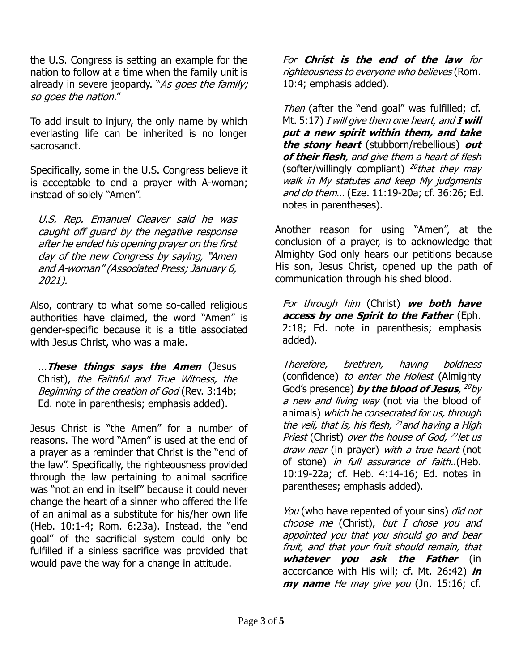the U.S. Congress is setting an example for the nation to follow at a time when the family unit is already in severe jeopardy. "As goes the family; so goes the nation."

To add insult to injury, the only name by which everlasting life can be inherited is no longer sacrosanct.

Specifically, some in the U.S. Congress believe it is acceptable to end a prayer with A-woman; instead of solely "Amen".

U.S. Rep. Emanuel Cleaver said he was caught off guard by the negative response after he ended his opening prayer on the first day of the new Congress by saying, "Amen and A-woman" (Associated Press; January 6, 2021).

Also, contrary to what some so-called religious authorities have claimed, the word "Amen" is gender-specific because it is a title associated with Jesus Christ, who was a male.

...**These things says the Amen** (Jesus Christ), the Faithful and True Witness, the Beginning of the creation of God (Rev. 3:14b; Ed. note in parenthesis; emphasis added).

Jesus Christ is "the Amen" for a number of reasons. The word "Amen" is used at the end of a prayer as a reminder that Christ is the "end of the law". Specifically, the righteousness provided through the law pertaining to animal sacrifice was "not an end in itself" because it could never change the heart of a sinner who offered the life of an animal as a substitute for his/her own life (Heb. 10:1-4; Rom. 6:23a). Instead, the "end goal" of the sacrificial system could only be fulfilled if a sinless sacrifice was provided that would pave the way for a change in attitude.

For **Christ is the end of the law** for righteousness to everyone who believes (Rom. 10:4; emphasis added).

Then (after the "end goal" was fulfilled; cf. Mt. 5:17) I will give them one heart, and **I will put a new spirit within them, and take the stony heart** (stubborn/rebellious) **out of their flesh**, and give them a heart of flesh (softer/willingly compliant) <sup>20</sup>that they may walk in My statutes and keep My judgments and do them… (Eze. 11:19-20a; cf. 36:26; Ed. notes in parentheses).

Another reason for using "Amen", at the conclusion of a prayer, is to acknowledge that Almighty God only hears our petitions because His son, Jesus Christ, opened up the path of communication through his shed blood.

For through him (Christ) **we both have access by one Spirit to the Father** (Eph. 2:18; Ed. note in parenthesis; emphasis added).

Therefore, brethren, having boldness (confidence) to enter the Holiest (Almighty God's presence) **by the blood of Jesus**, <sup>20</sup>by a new and living way (not via the blood of animals) which he consecrated for us, through the veil, that is, his flesh, <sup>21</sup> and having a High Priest (Christ) over the house of God, <sup>22</sup>let us draw near (in prayer) with a true heart (not of stone) in full assurance of faith..(Heb. 10:19-22a; cf. Heb. 4:14-16; Ed. notes in parentheses; emphasis added).

You (who have repented of your sins) *did not* choose me (Christ), but  $I$  chose you and appointed you that you should go and bear fruit, and that your fruit should remain, that **whatever you ask the Father** (in accordance with His will; cf. Mt. 26:42) **in my name** He may give you (Jn. 15:16; cf.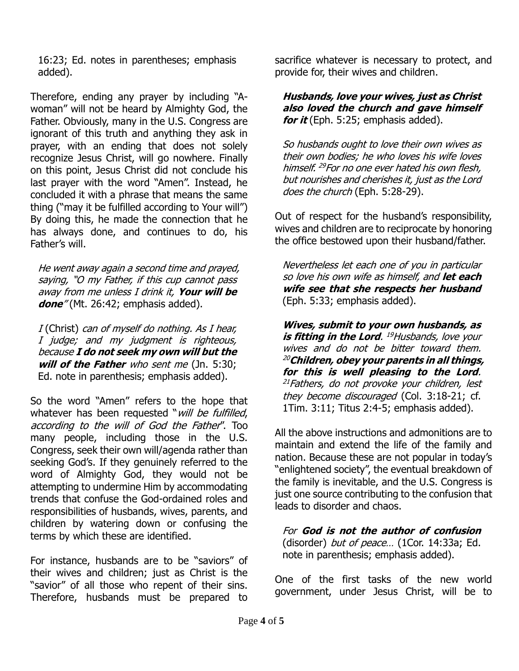16:23; Ed. notes in parentheses; emphasis added).

Therefore, ending any prayer by including "Awoman" will not be heard by Almighty God, the Father. Obviously, many in the U.S. Congress are ignorant of this truth and anything they ask in prayer, with an ending that does not solely recognize Jesus Christ, will go nowhere. Finally on this point, Jesus Christ did not conclude his last prayer with the word "Amen". Instead, he concluded it with a phrase that means the same thing ("may it be fulfilled according to Your will") By doing this, he made the connection that he has always done, and continues to do, his Father's will.

He went away again a second time and prayed, saying, "O my Father, if this cup cannot pass away from me unless I drink it, **Your will be**  done<sup>"</sup> (Mt. 26:42; emphasis added).

<sup>I</sup> (Christ) can of myself do nothing. As I hear, I judge; and my judgment is righteous, because **I do not seek my own will but the will of the Father** who sent me (Jn. 5:30; Ed. note in parenthesis; emphasis added).

So the word "Amen" refers to the hope that whatever has been requested "will be fulfilled, according to the will of God the Father". Too many people, including those in the U.S. Congress, seek their own will/agenda rather than seeking God's. If they genuinely referred to the word of Almighty God, they would not be attempting to undermine Him by accommodating trends that confuse the God-ordained roles and responsibilities of husbands, wives, parents, and children by watering down or confusing the terms by which these are identified.

For instance, husbands are to be "saviors" of their wives and children; just as Christ is the "savior" of all those who repent of their sins. Therefore, husbands must be prepared to

sacrifice whatever is necessary to protect, and provide for, their wives and children.

## **Husbands, love your wives, just as Christ also loved the church and gave himself for it** (Eph. 5:25; emphasis added).

So husbands ought to love their own wives as their own bodies; he who loves his wife loves himself. <sup>29</sup> For no one ever hated his own flesh, but nourishes and cherishes it, just as the Lord does the church (Eph. 5:28-29).

Out of respect for the husband's responsibility, wives and children are to reciprocate by honoring the office bestowed upon their husband/father.

Nevertheless let each one of you in particular so love his own wife as himself, and **let each wife see that she respects her husband** (Eph. 5:33; emphasis added).

**Wives, submit to your own husbands, as is fitting in the Lord**. <sup>19</sup>Husbands, love your wives and do not be bitter toward them. <sup>20</sup>**Children, obey your parents in all things, for this is well pleasing to the Lord**. <sup>21</sup> Fathers, do not provoke your children, lest they become discouraged (Col. 3:18-21; cf. 1Tim. 3:11; Titus 2:4-5; emphasis added).

All the above instructions and admonitions are to maintain and extend the life of the family and nation. Because these are not popular in today's "enlightened society", the eventual breakdown of the family is inevitable, and the U.S. Congress is just one source contributing to the confusion that leads to disorder and chaos.

For **God is not the author of confusion** (disorder) but of peace... (1Cor. 14:33a; Ed. note in parenthesis; emphasis added).

One of the first tasks of the new world government, under Jesus Christ, will be to